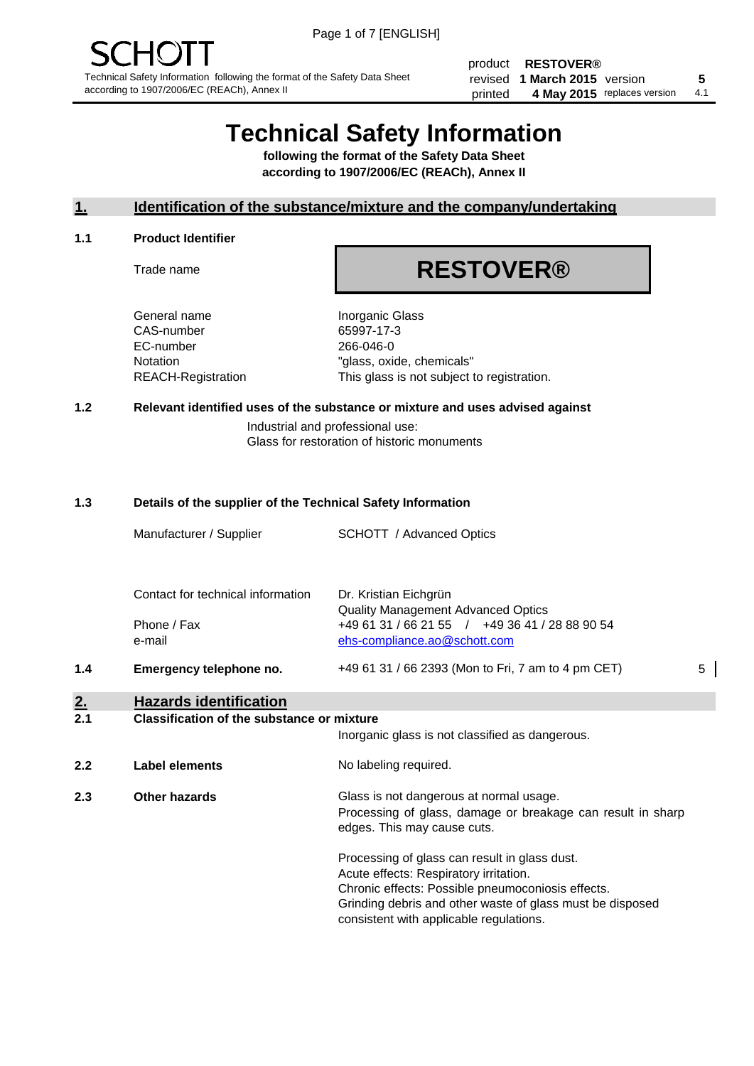product **RESTOVER®** revised **5 1 March 2015** version printed 4 May 2015 replaces version 4.1

# **Technical Safety Information**

**following the format of the Safety Data Sheet according to 1907/2006/EC (REACh), Annex II**

# **1. Identification of the substance/mixture and the company/undertaking**

#### **1.1 Product Identifier**

Trade name

# **RESTOVER®**

General name **Inorganic Glass** CAS-number 65997-17-3 EC-number 266-046-0

Notation "glass, oxide, chemicals" REACH-Registration This glass is not subject to registration.

# **1.2 Relevant identified uses of the substance or mixture and uses advised against**

Industrial and professional use: Glass for restoration of historic monuments

## **1.3 Details of the supplier of the Technical Safety Information**

|           | Manufacturer / Supplier                                    | SCHOTT / Advanced Optics                                                                                                                                                                                                                             |   |
|-----------|------------------------------------------------------------|------------------------------------------------------------------------------------------------------------------------------------------------------------------------------------------------------------------------------------------------------|---|
|           | Contact for technical information<br>Phone / Fax<br>e-mail | Dr. Kristian Eichgrün<br>Quality Management Advanced Optics<br>+49 61 31 / 66 21 55 / +49 36 41 / 28 88 90 54<br>ehs-compliance.ao@schott.com                                                                                                        |   |
| 1.4       | Emergency telephone no.                                    | +49 61 31 / 66 2393 (Mon to Fri, 7 am to 4 pm CET)                                                                                                                                                                                                   | 5 |
| <u>2.</u> | <b>Hazards identification</b>                              |                                                                                                                                                                                                                                                      |   |
| 2.1       | <b>Classification of the substance or mixture</b>          | Inorganic glass is not classified as dangerous.                                                                                                                                                                                                      |   |
| 2.2       | <b>Label elements</b>                                      | No labeling required.                                                                                                                                                                                                                                |   |
| 2.3       | <b>Other hazards</b>                                       | Glass is not dangerous at normal usage.<br>Processing of glass, damage or breakage can result in sharp<br>edges. This may cause cuts.                                                                                                                |   |
|           |                                                            | Processing of glass can result in glass dust.<br>Acute effects: Respiratory irritation.<br>Chronic effects: Possible pneumoconiosis effects.<br>Grinding debris and other waste of glass must be disposed<br>consistent with applicable regulations. |   |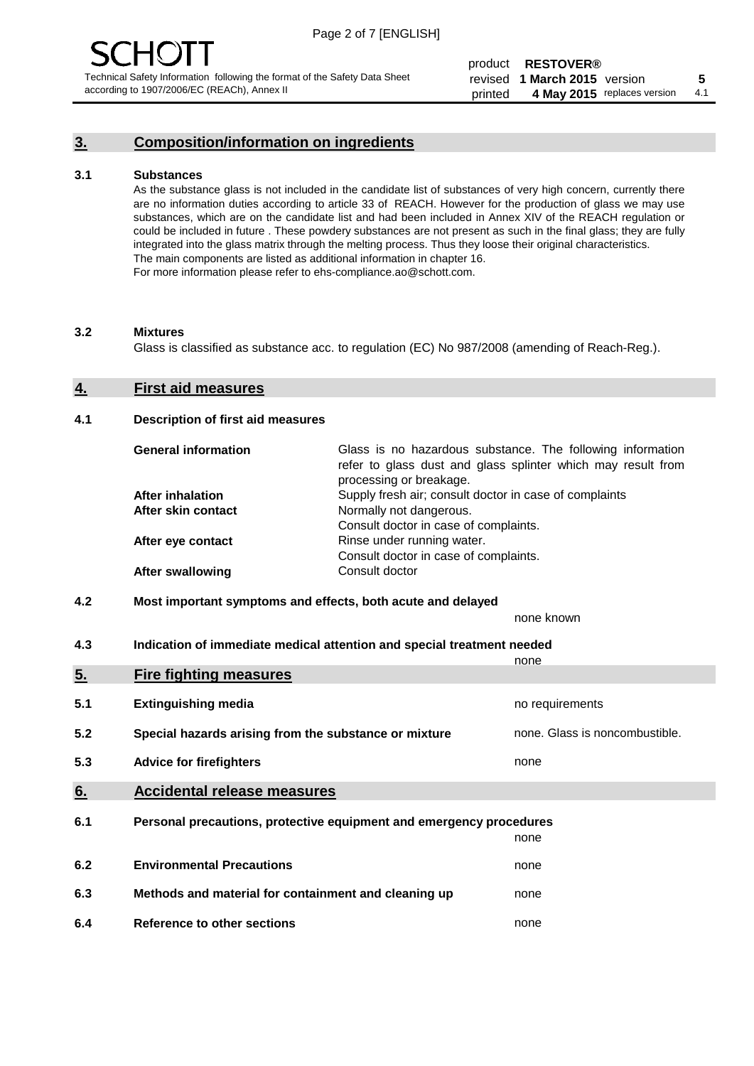# **3. Composition/information on ingredients**

### **3.1 Substances**

As the substance glass is not included in the candidate list of substances of very high concern, currently there are no information duties according to article 33 of REACH. However for the production of glass we may use substances, which are on the candidate list and had been included in Annex XIV of the REACH regulation or could be included in future . These powdery substances are not present as such in the final glass; they are fully integrated into the glass matrix through the melting process. Thus they loose their original characteristics. The main components are listed as additional information in chapter 16. For more information please refer to ehs-compliance.ao@schott.com.

#### **3.2 Mixtures**

Glass is classified as substance acc. to regulation (EC) No 987/2008 (amending of Reach-Reg.).

## **4. First aid measures**

### **4.1 Description of first aid measures**

| <b>General information</b> | Glass is no hazardous substance. The following information<br>refer to glass dust and glass splinter which may result from<br>processing or breakage. |
|----------------------------|-------------------------------------------------------------------------------------------------------------------------------------------------------|
| <b>After inhalation</b>    | Supply fresh air; consult doctor in case of complaints                                                                                                |
| After skin contact         | Normally not dangerous.                                                                                                                               |
|                            | Consult doctor in case of complaints.                                                                                                                 |
| After eye contact          | Rinse under running water.                                                                                                                            |
|                            | Consult doctor in case of complaints.                                                                                                                 |
| <b>After swallowing</b>    | Consult doctor                                                                                                                                        |

# **4.2 Most important symptoms and effects, both acute and delayed**

none known

**4.3 Indication of immediate medical attention and special treatment needed** 

|     |                                                                     | none                           |  |
|-----|---------------------------------------------------------------------|--------------------------------|--|
| 5.  | <b>Fire fighting measures</b>                                       |                                |  |
| 5.1 | <b>Extinguishing media</b>                                          | no requirements                |  |
| 5.2 | Special hazards arising from the substance or mixture               | none. Glass is noncombustible. |  |
| 5.3 | <b>Advice for firefighters</b>                                      | none                           |  |
| 6.  | <b>Accidental release measures</b>                                  |                                |  |
| 6.1 | Personal precautions, protective equipment and emergency procedures |                                |  |
|     |                                                                     | none                           |  |
| 6.2 | <b>Environmental Precautions</b>                                    | none                           |  |
| 6.3 | Methods and material for containment and cleaning up                | none                           |  |
| 6.4 | Reference to other sections                                         | none                           |  |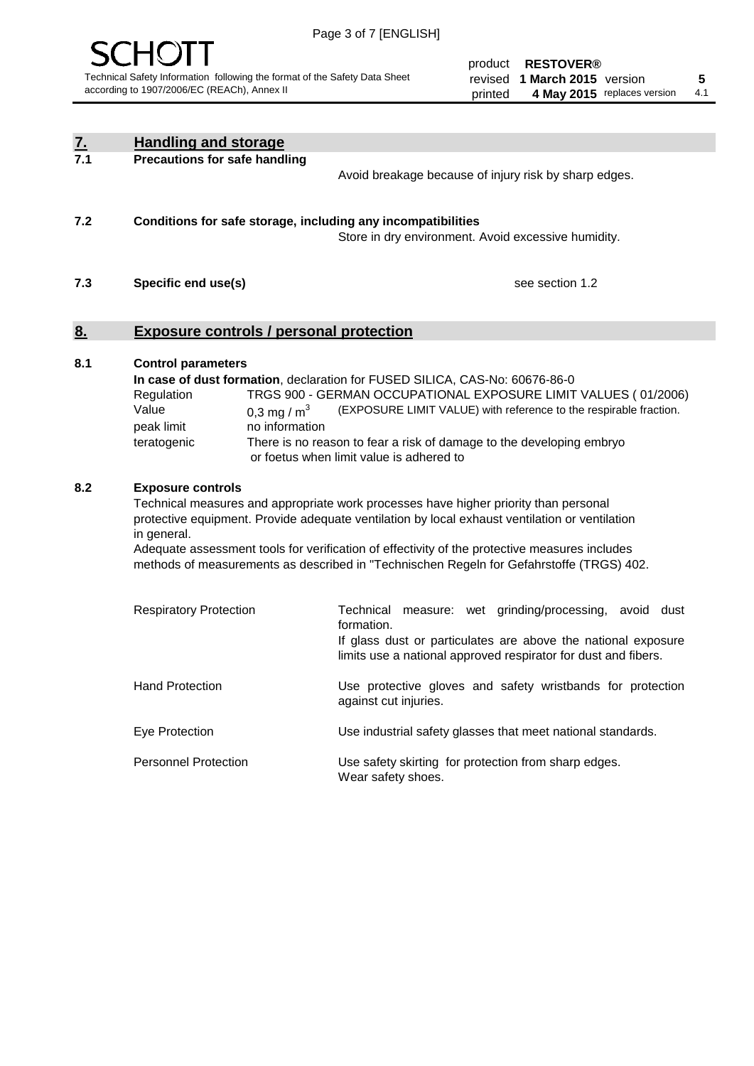

| <u>7.</u><br>7.1 | <b>Handling and storage</b>                                                                                                                                                                                                                                                                                                                                                                                                    |                                                                                                                                                                                                                                                                                                                                        |  |
|------------------|--------------------------------------------------------------------------------------------------------------------------------------------------------------------------------------------------------------------------------------------------------------------------------------------------------------------------------------------------------------------------------------------------------------------------------|----------------------------------------------------------------------------------------------------------------------------------------------------------------------------------------------------------------------------------------------------------------------------------------------------------------------------------------|--|
|                  | <b>Precautions for safe handling</b>                                                                                                                                                                                                                                                                                                                                                                                           | Avoid breakage because of injury risk by sharp edges.                                                                                                                                                                                                                                                                                  |  |
| 7.2              | Conditions for safe storage, including any incompatibilities                                                                                                                                                                                                                                                                                                                                                                   | Store in dry environment. Avoid excessive humidity.                                                                                                                                                                                                                                                                                    |  |
| 7.3              | Specific end use(s)                                                                                                                                                                                                                                                                                                                                                                                                            | see section 1.2                                                                                                                                                                                                                                                                                                                        |  |
| <u>8.</u>        | <b>Exposure controls / personal protection</b>                                                                                                                                                                                                                                                                                                                                                                                 |                                                                                                                                                                                                                                                                                                                                        |  |
| 8.1              | <b>Control parameters</b><br>Regulation<br>Value<br>0,3 mg / $m3$<br>peak limit<br>no information<br>teratogenic                                                                                                                                                                                                                                                                                                               | In case of dust formation, declaration for FUSED SILICA, CAS-No: 60676-86-0<br>TRGS 900 - GERMAN OCCUPATIONAL EXPOSURE LIMIT VALUES (01/2006)<br>(EXPOSURE LIMIT VALUE) with reference to the respirable fraction.<br>There is no reason to fear a risk of damage to the developing embryo<br>or foetus when limit value is adhered to |  |
| 8.2              | <b>Exposure controls</b><br>Technical measures and appropriate work processes have higher priority than personal<br>protective equipment. Provide adequate ventilation by local exhaust ventilation or ventilation<br>in general.<br>Adequate assessment tools for verification of effectivity of the protective measures includes<br>methods of measurements as described in "Technischen Regeln for Gefahrstoffe (TRGS) 402. |                                                                                                                                                                                                                                                                                                                                        |  |
|                  | <b>Respiratory Protection</b>                                                                                                                                                                                                                                                                                                                                                                                                  | Technical measure: wet grinding/processing, avoid dust<br>formation.<br>If glass dust or particulates are above the national exposure<br>limits use a national approved respirator for dust and fibers.                                                                                                                                |  |
|                  | <b>Hand Protection</b>                                                                                                                                                                                                                                                                                                                                                                                                         | Use protective gloves and safety wristbands for protection<br>against cut injuries.                                                                                                                                                                                                                                                    |  |
|                  | Eye Protection                                                                                                                                                                                                                                                                                                                                                                                                                 | Use industrial safety glasses that meet national standards.                                                                                                                                                                                                                                                                            |  |
|                  | <b>Personnel Protection</b>                                                                                                                                                                                                                                                                                                                                                                                                    | Use safety skirting for protection from sharp edges.<br>Wear safety shoes.                                                                                                                                                                                                                                                             |  |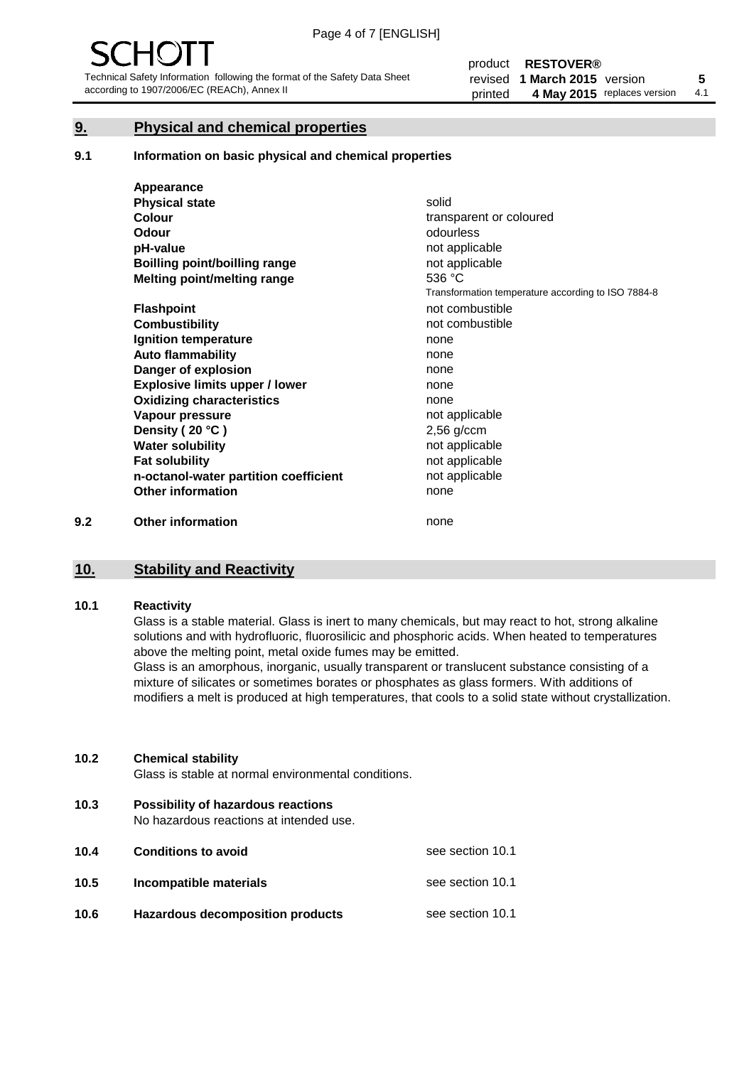# **9. Physical and chemical properties**

### **9.1 Information on basic physical and chemical properties**

|     | Appearance                            |                                                    |
|-----|---------------------------------------|----------------------------------------------------|
|     | <b>Physical state</b>                 | solid                                              |
|     | <b>Colour</b>                         | transparent or coloured                            |
|     | <b>Odour</b>                          | odourless                                          |
|     | pH-value                              | not applicable                                     |
|     | <b>Boilling point/boilling range</b>  | not applicable                                     |
|     | Melting point/melting range           | 536 °C                                             |
|     |                                       | Transformation temperature according to ISO 7884-8 |
|     | <b>Flashpoint</b>                     | not combustible                                    |
|     | <b>Combustibility</b>                 | not combustible                                    |
|     | Ignition temperature                  | none                                               |
|     | <b>Auto flammability</b>              | none                                               |
|     | Danger of explosion                   | none                                               |
|     | <b>Explosive limits upper / lower</b> | none                                               |
|     | <b>Oxidizing characteristics</b>      | none                                               |
|     | Vapour pressure                       | not applicable                                     |
|     | Density (20 °C)                       | $2,56$ g/ccm                                       |
|     | <b>Water solubility</b>               | not applicable                                     |
|     | <b>Fat solubility</b>                 | not applicable                                     |
|     | n-octanol-water partition coefficient | not applicable                                     |
|     | <b>Other information</b>              | none                                               |
| 9.2 | <b>Other information</b>              | none                                               |

# **10. Stability and Reactivity**

# **10.1 Reactivity**

Glass is a stable material. Glass is inert to many chemicals, but may react to hot, strong alkaline solutions and with hydrofluoric, fluorosilicic and phosphoric acids. When heated to temperatures above the melting point, metal oxide fumes may be emitted.

Glass is an amorphous, inorganic, usually transparent or translucent substance consisting of a mixture of silicates or sometimes borates or phosphates as glass formers. With additions of modifiers a melt is produced at high temperatures, that cools to a solid state without crystallization.

### **10.2 Chemical stability**

Glass is stable at normal environmental conditions.

**10.3 Possibility of hazardous reactions** 

No hazardous reactions at intended use.

| 10.4 | <b>Conditions to avoid</b>              | see section 10.1 |
|------|-----------------------------------------|------------------|
| 10.5 | Incompatible materials                  | see section 10.1 |
| 10.6 | <b>Hazardous decomposition products</b> | see section 10.1 |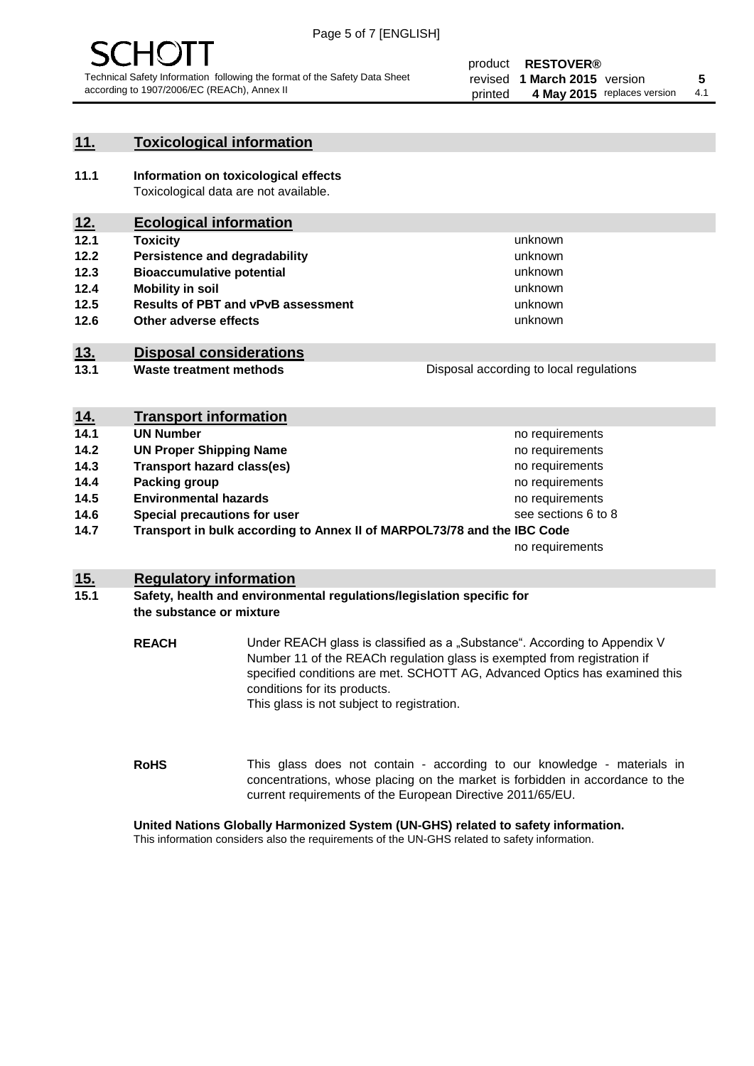

# **11. Toxicological information**

**11.1 Information on toxicological effects** Toxicological data are not available.

# **12. Ecological information**

- **12.1 Toxicity**
- **12.2 Persistence and degradability**
- **12.3 Bioaccumulative potential**
- **12.4 Mobility in soil**
- **12.5 Results of PBT and vPvB assessment**
- **12.6 Other adverse effects**

# **13. Disposal considerations**

**13.1 Waste treatment methods**

| Disposal according to local regulations |
|-----------------------------------------|
|                                         |

unknown unknown unknown unknown

unknown unknown

| <u>14.</u> | <b>Transport information</b>                                            |                     |
|------------|-------------------------------------------------------------------------|---------------------|
| 14.1       | <b>UN Number</b>                                                        | no requirements     |
| 14.2       | <b>UN Proper Shipping Name</b>                                          | no requirements     |
| 14.3       | <b>Transport hazard class(es)</b>                                       | no requirements     |
| 14.4       | Packing group                                                           | no requirements     |
| 14.5       | <b>Environmental hazards</b>                                            | no requirements     |
| 14.6       | Special precautions for user                                            | see sections 6 to 8 |
| 14.7       | Transport in bulk according to Annex II of MARPOL73/78 and the IBC Code |                     |
|            |                                                                         | no requirements     |

# **15. Regulatory information**

# **15.1 Safety, health and environmental regulations/legislation specific for the substance or mixture**

**REACH** Under REACH glass is classified as a "Substance". According to Appendix V Number 11 of the REACh regulation glass is exempted from registration if specified conditions are met. SCHOTT AG, Advanced Optics has examined this conditions for its products. This glass is not subject to registration.

**RoHS** This glass does not contain - according to our knowledge - materials in concentrations, whose placing on the market is forbidden in accordance to the current requirements of the European Directive 2011/65/EU.

## **United Nations Globally Harmonized System (UN-GHS) related to safety information.**

This information considers also the requirements of the UN-GHS related to safety information.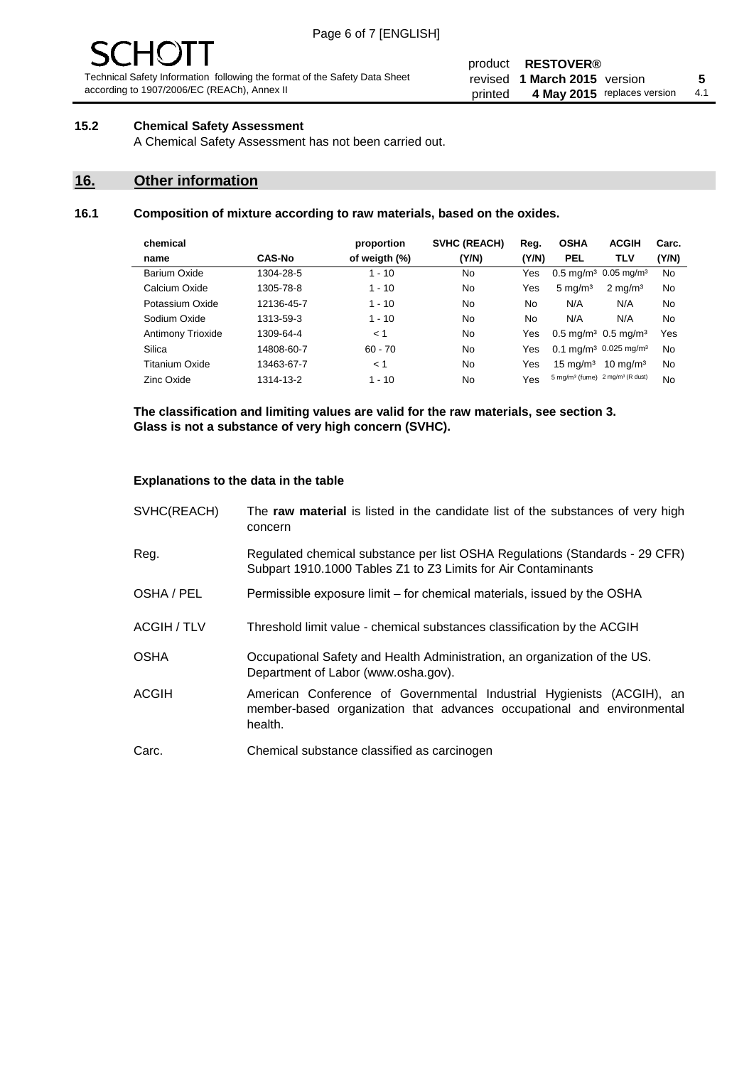#### product **RESTOVER®** revised **5 1 March 2015** version printed 4 May 2015 replaces version 4.1

# **15.2 Chemical Safety Assessment**

A Chemical Safety Assessment has not been carried out.

# **16. Other information**

# **16.1 Composition of mixture according to raw materials, based on the oxides.**

| chemical          |               | proportion    | <b>SVHC (REACH)</b> | Reg.  | <b>OSHA</b>                                             | <b>ACGIH</b>        | Carc. |
|-------------------|---------------|---------------|---------------------|-------|---------------------------------------------------------|---------------------|-------|
| name              | <b>CAS-No</b> | of weigth (%) | (Y/N)               | (Y/N) | <b>PEL</b>                                              | TLV                 | (Y/N) |
| Barium Oxide      | 1304-28-5     | $1 - 10$      | No                  | Yes   | $0.5 \text{ mg/m}^3$ 0.05 mg/m <sup>3</sup>             |                     | No    |
| Calcium Oxide     | 1305-78-8     | $1 - 10$      | No                  | Yes   | $5 \text{ mg/m}^3$                                      | $2 \text{ mg/m}^3$  | No    |
| Potassium Oxide   | 12136-45-7    | $1 - 10$      | No                  | No.   | N/A                                                     | N/A                 | No    |
| Sodium Oxide      | 1313-59-3     | $1 - 10$      | No                  | No    | N/A                                                     | N/A                 | No    |
| Antimony Trioxide | 1309-64-4     | < 1           | No                  | Yes   | $0.5 \,\mathrm{mq/m^3}$ 0.5 mg/m <sup>3</sup>           |                     | Yes   |
| Silica            | 14808-60-7    | $60 - 70$     | No                  | Yes   | 0.1 mg/m <sup>3</sup> 0.025 mg/m <sup>3</sup>           |                     | No    |
| Titanium Oxide    | 13463-67-7    | < 1           | No                  | Yes   | $15 \text{ mg/m}^3$                                     | $10 \text{ ma/m}^3$ | No    |
| Zinc Oxide        | 1314-13-2     | $1 - 10$      | No                  | Yes   | 5 mg/m <sup>3</sup> (fume) 2 mg/m <sup>3</sup> (R dust) |                     | No    |
|                   |               |               |                     |       |                                                         |                     |       |

**The classification and limiting values are valid for the raw materials, see section 3. Glass is not a substance of very high concern (SVHC).**

### **Explanations to the data in the table**

| SVHC(REACH)        | The raw material is listed in the candidate list of the substances of very high<br>concern                                                                 |
|--------------------|------------------------------------------------------------------------------------------------------------------------------------------------------------|
| Reg.               | Regulated chemical substance per list OSHA Regulations (Standards - 29 CFR)<br>Subpart 1910.1000 Tables Z1 to Z3 Limits for Air Contaminants               |
| OSHA / PEL         | Permissible exposure limit – for chemical materials, issued by the OSHA                                                                                    |
| <b>ACGIH / TLV</b> | Threshold limit value - chemical substances classification by the ACGIH                                                                                    |
| <b>OSHA</b>        | Occupational Safety and Health Administration, an organization of the US.<br>Department of Labor (www.osha.gov).                                           |
| <b>ACGIH</b>       | American Conference of Governmental Industrial Hygienists (ACGIH), an<br>member-based organization that advances occupational and environmental<br>health. |
| Carc.              | Chemical substance classified as carcinogen                                                                                                                |